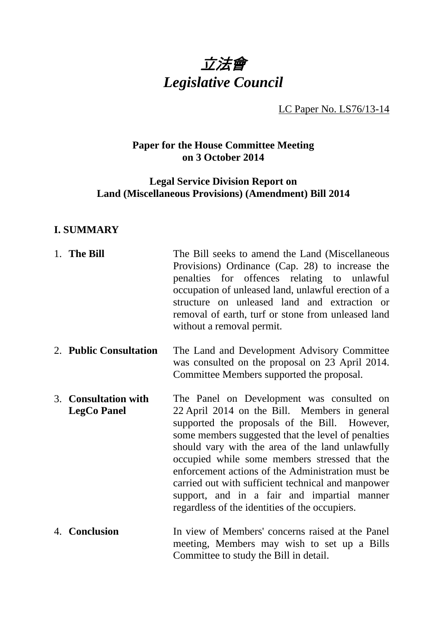

LC Paper No. LS76/13-14

## **Paper for the House Committee Meeting on 3 October 2014**

# **Legal Service Division Report on Land (Miscellaneous Provisions) (Amendment) Bill 2014**

# **I. SUMMARY**

| 1. The Bill                                | The Bill seeks to amend the Land (Miscellaneous<br>Provisions) Ordinance (Cap. 28) to increase the<br>penalties for offences relating to unlawful<br>occupation of unleased land, unlawful erection of a<br>structure on unleased land and extraction or<br>removal of earth, turf or stone from unleased land<br>without a removal permit.                                                                                                                                                                        |
|--------------------------------------------|--------------------------------------------------------------------------------------------------------------------------------------------------------------------------------------------------------------------------------------------------------------------------------------------------------------------------------------------------------------------------------------------------------------------------------------------------------------------------------------------------------------------|
| 2. Public Consultation                     | The Land and Development Advisory Committee<br>was consulted on the proposal on 23 April 2014.<br>Committee Members supported the proposal.                                                                                                                                                                                                                                                                                                                                                                        |
| 3. Consultation with<br><b>LegCo Panel</b> | The Panel on Development was consulted on<br>22 April 2014 on the Bill. Members in general<br>supported the proposals of the Bill. However,<br>some members suggested that the level of penalties<br>should vary with the area of the land unlawfully<br>occupied while some members stressed that the<br>enforcement actions of the Administration must be<br>carried out with sufficient technical and manpower<br>support, and in a fair and impartial manner<br>regardless of the identities of the occupiers. |
| 4. Conclusion                              | In view of Members' concerns raised at the Panel<br>meeting, Members may wish to set up a Bills<br>Committee to study the Bill in detail.                                                                                                                                                                                                                                                                                                                                                                          |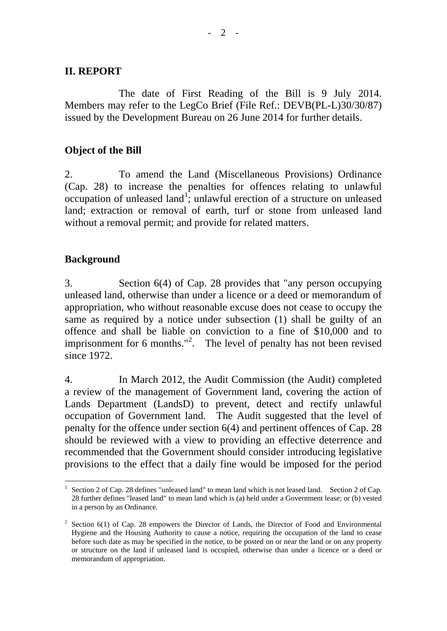#### **II. REPORT**

The date of First Reading of the Bill is 9 July 2014. Members may refer to the LegCo Brief (File Ref.: DEVB(PL-L)30/30/87) issued by the Development Bureau on 26 June 2014 for further details.

### **Object of the Bill**

2. To amend the Land (Miscellaneous Provisions) Ordinance (Cap. 28) to increase the penalties for offences relating to unlawful occupation of unleased land<sup>[1](#page-1-0)</sup>; unlawful erection of a structure on unleased land; extraction or removal of earth, turf or stone from unleased land without a removal permit; and provide for related matters.

#### **Background**

3. Section 6(4) of Cap. 28 provides that "any person occupying unleased land, otherwise than under a licence or a deed or memorandum of appropriation, who without reasonable excuse does not cease to occupy the same as required by a notice under subsection (1) shall be guilty of an offence and shall be liable on conviction to a fine of \$10,000 and to imprisonment for 6 months."<sup>[2](#page-1-1)</sup>. The level of penalty has not been revised since 1972.

4. In March 2012, the Audit Commission (the Audit) completed a review of the management of Government land, covering the action of Lands Department (LandsD) to prevent, detect and rectify unlawful occupation of Government land. The Audit suggested that the level of penalty for the offence under section 6(4) and pertinent offences of Cap. 28 should be reviewed with a view to providing an effective deterrence and recommended that the Government should consider introducing legislative provisions to the effect that a daily fine would be imposed for the period

<span id="page-1-0"></span>Section 2 of Cap. 28 defines "unleased land" to mean land which is not leased land. Section 2 of Cap. 28 further defines "leased land" to mean land which is (a) held under a Government lease; or (b) vested in a person by an Ordinance.

<span id="page-1-1"></span>Section 6(1) of Cap. 28 empowers the Director of Lands, the Director of Food and Environmental Hygiene and the Housing Authority to cause a notice, requiring the occupation of the land to cease before such date as may be specified in the notice, to be posted on or near the land or on any property or structure on the land if unleased land is occupied, otherwise than under a licence or a deed or memorandum of appropriation.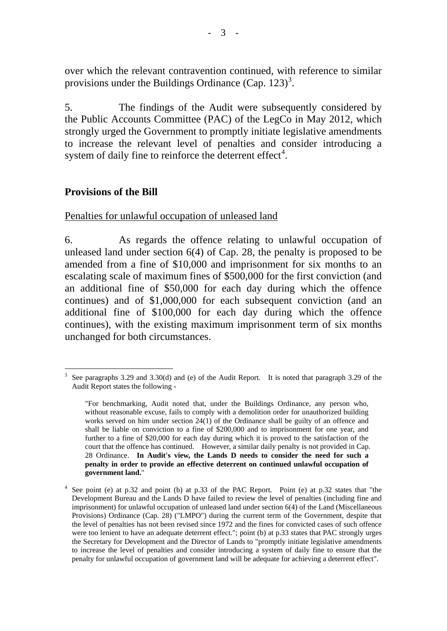over which the relevant contravention continued, with reference to similar provisions under the Buildings Ordinance (Cap. 12[3](#page-2-0))<sup>3</sup>.

5. The findings of the Audit were subsequently considered by the Public Accounts Committee (PAC) of the LegCo in May 2012, which strongly urged the Government to promptly initiate legislative amendments to increase the relevant level of penalties and consider introducing a system of daily fine to reinforce the deterrent effect $4$ .

## **Provisions of the Bill**

Penalties for unlawful occupation of unleased land

6. As regards the offence relating to unlawful occupation of unleased land under section 6(4) of Cap. 28, the penalty is proposed to be amended from a fine of \$10,000 and imprisonment for six months to an escalating scale of maximum fines of \$500,000 for the first conviction (and an additional fine of \$50,000 for each day during which the offence continues) and of \$1,000,000 for each subsequent conviction (and an additional fine of \$100,000 for each day during which the offence continues), with the existing maximum imprisonment term of six months unchanged for both circumstances.

<span id="page-2-0"></span> <sup>3</sup> See paragraphs 3.29 and 3.30(d) and (e) of the Audit Report. It is noted that paragraph 3.29 of the Audit Report states the following -

<sup>&</sup>quot;For benchmarking, Audit noted that, under the Buildings Ordinance, any person who, without reasonable excuse, fails to comply with a demolition order for unauthorized building works served on him under section 24(1) of the Ordinance shall be guilty of an offence and shall be liable on conviction to a fine of \$200,000 and to imprisonment for one year, and further to a fine of \$20,000 for each day during which it is proved to the satisfaction of the court that the offence has continued. However, a similar daily penalty is not provided in Cap. 28 Ordinance. **In Audit's view, the Lands D needs to consider the need for such a penalty in order to provide an effective deterrent on continued unlawful occupation of government land.**"

<span id="page-2-1"></span>See point (e) at p.32 and point (b) at p.33 of the PAC Report. Point (e) at p.32 states that "the Development Bureau and the Lands D have failed to review the level of penalties (including fine and imprisonment) for unlawful occupation of unleased land under section 6(4) of the Land (Miscellaneous Provisions) Ordinance (Cap. 28) ("LMPO") during the current term of the Government, despite that the level of penalties has not been revised since 1972 and the fines for convicted cases of such offence were too lenient to have an adequate deterrent effect."; point (b) at p.33 states that PAC strongly urges the Secretary for Development and the Director of Lands to "promptly initiate legislative amendments to increase the level of penalties and consider introducing a system of daily fine to ensure that the penalty for unlawful occupation of government land will be adequate for achieving a deterrent effect".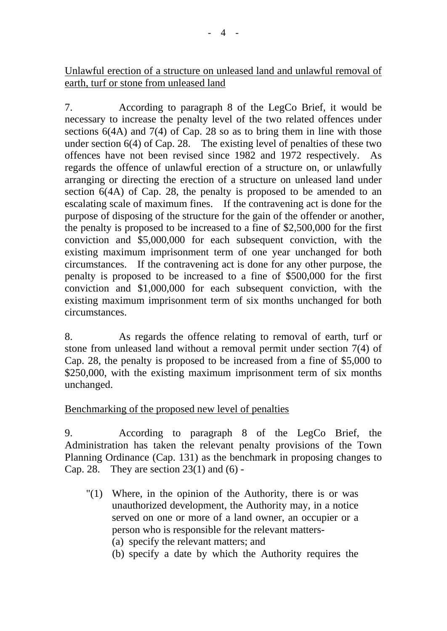# Unlawful erection of a structure on unleased land and unlawful removal of earth, turf or stone from unleased land

7. According to paragraph 8 of the LegCo Brief, it would be necessary to increase the penalty level of the two related offences under sections 6(4A) and 7(4) of Cap. 28 so as to bring them in line with those under section  $6(4)$  of Cap. 28. The existing level of penalties of these two offences have not been revised since 1982 and 1972 respectively. As regards the offence of unlawful erection of a structure on, or unlawfully arranging or directing the erection of a structure on unleased land under section 6(4A) of Cap. 28, the penalty is proposed to be amended to an escalating scale of maximum fines. If the contravening act is done for the purpose of disposing of the structure for the gain of the offender or another, the penalty is proposed to be increased to a fine of \$2,500,000 for the first conviction and \$5,000,000 for each subsequent conviction, with the existing maximum imprisonment term of one year unchanged for both circumstances. If the contravening act is done for any other purpose, the penalty is proposed to be increased to a fine of \$500,000 for the first conviction and \$1,000,000 for each subsequent conviction, with the existing maximum imprisonment term of six months unchanged for both circumstances.

8. As regards the offence relating to removal of earth, turf or stone from unleased land without a removal permit under section 7(4) of Cap. 28, the penalty is proposed to be increased from a fine of \$5,000 to \$250,000, with the existing maximum imprisonment term of six months unchanged.

# Benchmarking of the proposed new level of penalties

9. According to paragraph 8 of the LegCo Brief, the Administration has taken the relevant penalty provisions of the Town Planning Ordinance (Cap. 131) as the benchmark in proposing changes to Cap. 28. They are section  $23(1)$  and  $(6)$  -

- "(1) Where, in the opinion of the Authority, there is or was unauthorized development, the Authority may, in a notice served on one or more of a land owner, an occupier or a person who is responsible for the relevant matters-
	- (a) specify the relevant matters; and
	- (b) specify a date by which the Authority requires the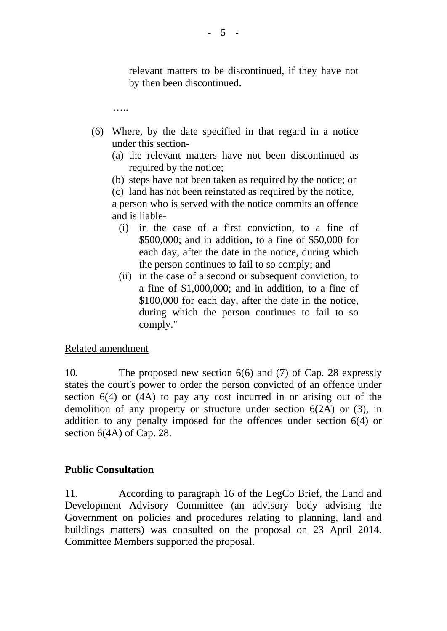relevant matters to be discontinued, if they have not by then been discontinued.

……

- (6) Where, by the date specified in that regard in a notice under this section-
	- (a) the relevant matters have not been discontinued as required by the notice;
	- (b) steps have not been taken as required by the notice; or

(c) land has not been reinstated as required by the notice,

a person who is served with the notice commits an offence and is liable-

- (i) in the case of a first conviction, to a fine of \$500,000; and in addition, to a fine of \$50,000 for each day, after the date in the notice, during which the person continues to fail to so comply; and
- (ii) in the case of a second or subsequent conviction, to a fine of \$1,000,000; and in addition, to a fine of \$100,000 for each day, after the date in the notice, during which the person continues to fail to so comply."

### Related amendment

10. The proposed new section 6(6) and (7) of Cap. 28 expressly states the court's power to order the person convicted of an offence under section 6(4) or (4A) to pay any cost incurred in or arising out of the demolition of any property or structure under section 6(2A) or (3), in addition to any penalty imposed for the offences under section 6(4) or section 6(4A) of Cap. 28.

### **Public Consultation**

11. According to paragraph 16 of the LegCo Brief, the Land and Development Advisory Committee (an advisory body advising the Government on policies and procedures relating to planning, land and buildings matters) was consulted on the proposal on 23 April 2014. Committee Members supported the proposal.